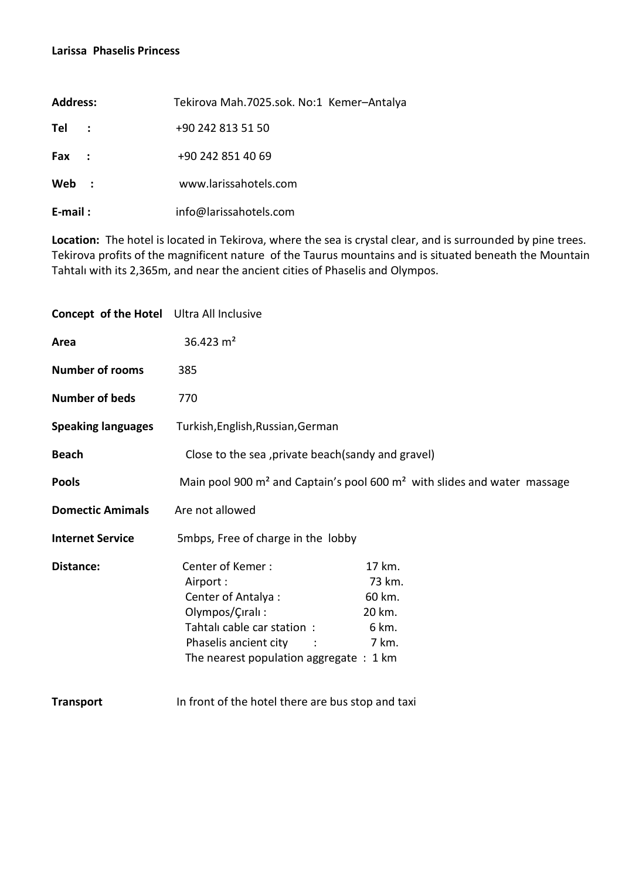## **Larissa Phaselis Princess**

| <b>Address:</b>            | Tekirova Mah.7025.sok. No:1 Kemer-Antalya |
|----------------------------|-------------------------------------------|
| Tel                        | +90 242 813 51 50                         |
| <b>Fax</b><br>$\mathbf{r}$ | +90 242 851 40 69                         |
| Web<br>$\mathbf{L}$        | www.larissahotels.com                     |
| $E$ -mail:                 | info@larissahotels.com                    |

**Location:** The hotel is located in Tekirova, where the sea is crystal clear, and is surrounded by pine trees. Tekirova profits of the magnificent nature of the Taurus mountains and is situated beneath the Mountain Tahtalı with its 2,365m, and near the ancient cities of Phaselis and Olympos.

| <b>Concept of the Hotel</b> Ultra All Inclusive |                                                                                                                                                                          |                                                        |  |
|-------------------------------------------------|--------------------------------------------------------------------------------------------------------------------------------------------------------------------------|--------------------------------------------------------|--|
| Area                                            | 36.423 $m2$                                                                                                                                                              |                                                        |  |
| <b>Number of rooms</b>                          | 385                                                                                                                                                                      |                                                        |  |
| <b>Number of beds</b>                           | 770                                                                                                                                                                      |                                                        |  |
| <b>Speaking languages</b>                       | Turkish, English, Russian, German                                                                                                                                        |                                                        |  |
| <b>Beach</b>                                    | Close to the sea , private beach (sandy and gravel)                                                                                                                      |                                                        |  |
| <b>Pools</b>                                    | Main pool 900 m <sup>2</sup> and Captain's pool 600 m <sup>2</sup> with slides and water massage                                                                         |                                                        |  |
| <b>Domectic Amimals</b>                         | Are not allowed                                                                                                                                                          |                                                        |  |
| <b>Internet Service</b>                         | 5mbps, Free of charge in the lobby                                                                                                                                       |                                                        |  |
| Distance:                                       | Center of Kemer:<br>Airport:<br>Center of Antalya :<br>Olympos/Çıralı:<br>Tahtalı cable car station:<br>Phaselis ancient city<br>The nearest population aggregate : 1 km | 17 km.<br>73 km.<br>60 km.<br>20 km.<br>6 km.<br>7 km. |  |
| <b>Transport</b>                                | In front of the hotel there are bus stop and taxi                                                                                                                        |                                                        |  |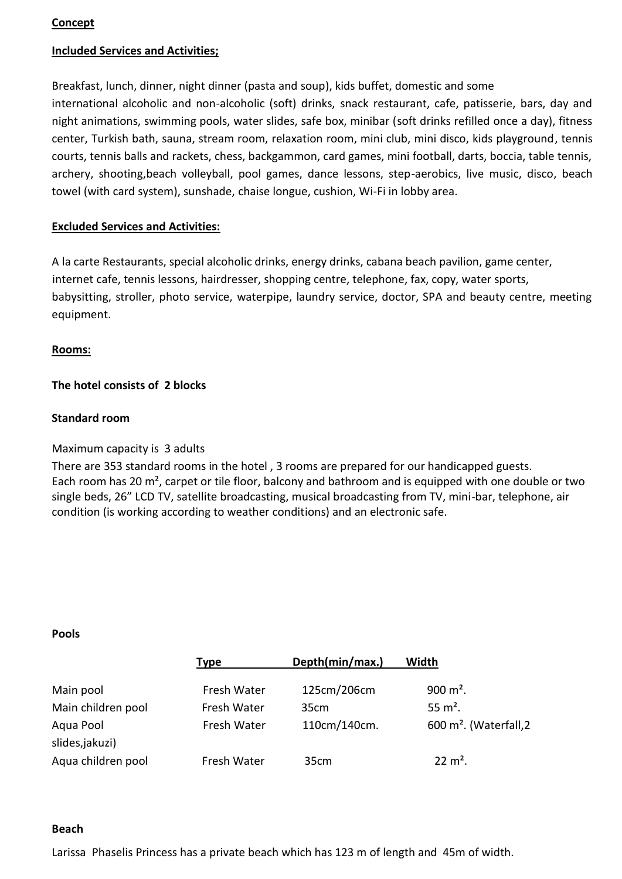### **Concept**

### **Included Services and Activities;**

Breakfast, lunch, dinner, night dinner (pasta and soup), kids buffet, domestic and some international alcoholic and non-alcoholic (soft) drinks, snack restaurant, cafe, patisserie, bars, day and night animations, swimming pools, water slides, safe box, minibar (soft drinks refilled once a day), fitness center, Turkish bath, sauna, stream room, relaxation room, mini club, mini disco, kids playground, tennis courts, tennis balls and rackets, chess, backgammon, card games, mini football, darts, boccia, table tennis, archery, shooting,beach volleyball, pool games, dance lessons, step-aerobics, live music, disco, beach towel (with card system), sunshade, chaise longue, cushion, Wi-Fi in lobby area.

### **Excluded Services and Activities:**

A la carte Restaurants, special alcoholic drinks, energy drinks, cabana beach pavilion, game center, internet cafe, tennis lessons, hairdresser, shopping centre, telephone, fax, copy, water sports, babysitting, stroller, photo service, waterpipe, laundry service, doctor, SPA and beauty centre, meeting equipment.

### **Rooms:**

### **The hotel consists of 2 blocks**

### **Standard room**

### Maximum capacity is 3 adults

There are 353 standard rooms in the hotel , 3 rooms are prepared for our handicapped guests. Each room has 20 m², carpet or tile floor, balcony and bathroom and is equipped with one double or two single beds, 26" LCD TV, satellite broadcasting, musical broadcasting from TV, mini-bar, telephone, air condition (is working according to weather conditions) and an electronic safe.

#### **Pools**

| <b>Type</b> | Depth(min/max.) | Width                             |
|-------------|-----------------|-----------------------------------|
| Fresh Water | 125cm/206cm     | 900 $m^2$ .                       |
| Fresh Water | 35cm            | 55 $m^2$ .                        |
| Fresh Water | 110cm/140cm.    | $600 \text{ m}^2$ . (Waterfall, 2 |
|             |                 |                                   |
| Fresh Water | 35cm            | $22 \text{ m}^2$ .                |
|             |                 |                                   |

#### **Beach**

Larissa Phaselis Princess has a private beach which has 123 m of length and 45m of width.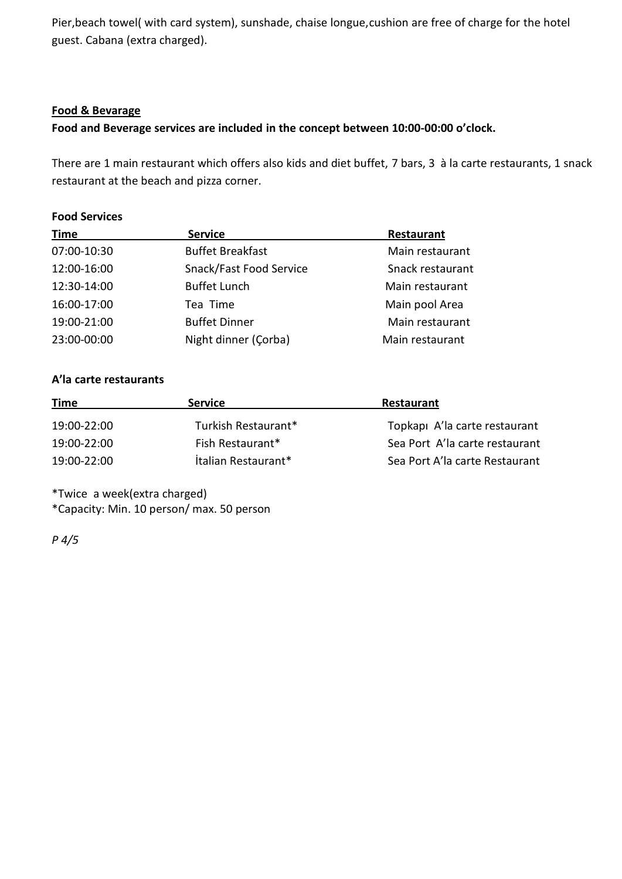Pier,beach towel( with card system), sunshade, chaise longue,cushion are free of charge for the hotel guest. Cabana (extra charged).

### **Food & Bevarage**

**Food and Beverage services are included in the concept between 10:00-00:00 o'clock.**

There are 1 main restaurant which offers also kids and diet buffet, 7 bars, 3 à la carte restaurants, 1 snack restaurant at the beach and pizza corner.

## **Food Services**

| <b>Time</b> | <b>Service</b>          | Restaurant       |
|-------------|-------------------------|------------------|
| 07:00-10:30 | <b>Buffet Breakfast</b> | Main restaurant  |
| 12:00-16:00 | Snack/Fast Food Service | Snack restaurant |
| 12:30-14:00 | <b>Buffet Lunch</b>     | Main restaurant  |
| 16:00-17:00 | Tea Time                | Main pool Area   |
| 19:00-21:00 | <b>Buffet Dinner</b>    | Main restaurant  |
| 23:00-00:00 | Night dinner (Corba)    | Main restaurant  |

## **A'la carte restaurants**

| <b>Time</b> | <b>Service</b>             | Restaurant                     |
|-------------|----------------------------|--------------------------------|
| 19:00-22:00 | Turkish Restaurant*        | Topkapi A'la carte restaurant  |
| 19:00-22:00 | Fish Restaurant*           | Sea Port A'la carte restaurant |
| 19:00-22:00 | <b>Italian Restaurant*</b> | Sea Port A'la carte Restaurant |

\*Twice a week(extra charged) \*Capacity: Min. 10 person/ max. 50 person

*P 4/5*